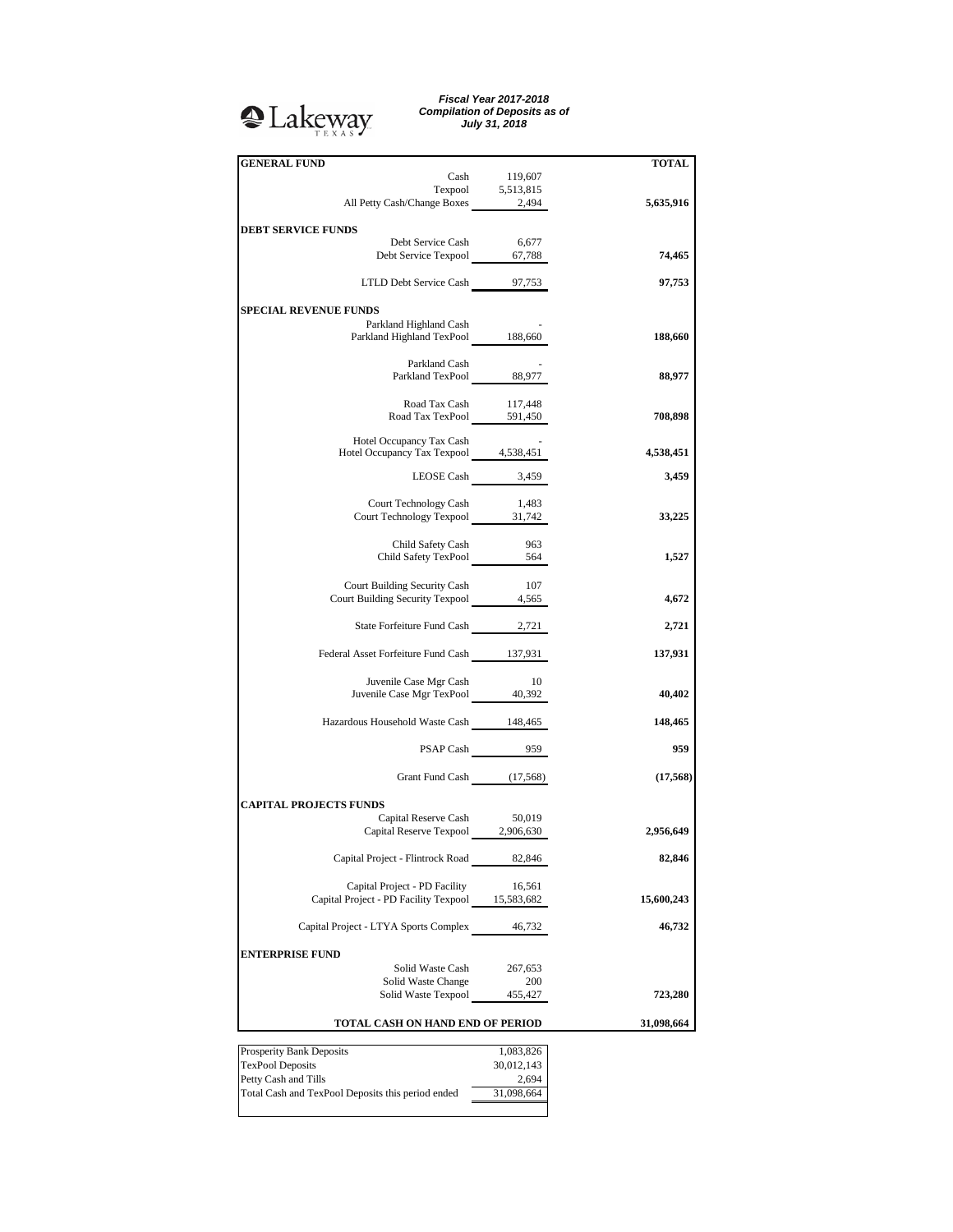## **A**Lakeway

*Fiscal Year 2017-2018 Compilation of Deposits as of July 31, 2018*

| <b>GENERAL FUND</b>                                    |                     | <b>TOTAL</b> |
|--------------------------------------------------------|---------------------|--------------|
| Cash                                                   | 119,607             |              |
| Texpool 5,513,815<br>All Petty Cash/Change Boxes 2,494 |                     |              |
|                                                        |                     | 5,635,916    |
|                                                        |                     |              |
| <b>DEBT SERVICE FUNDS</b>                              |                     |              |
| Debt Service Cash<br>Debt Service Texpool 67,788       | 6,677               | 74,465       |
|                                                        |                     |              |
| LTLD Debt Service Cash 97,753                          |                     | 97,753       |
|                                                        |                     |              |
| <b>SPECIAL REVENUE FUNDS</b>                           |                     |              |
| Parkland Highland Cash                                 |                     |              |
| Parkland Highland TexPool 188,660                      |                     | 188,660      |
|                                                        |                     |              |
| Parkland Cash<br>Parkland TexPool 88,977               |                     | 88,977       |
|                                                        |                     |              |
| Road Tax Cash                                          | 117,448             |              |
| Road Tax TexPool 591,450                               |                     | 708,898      |
|                                                        |                     |              |
| Hotel Occupancy Tax Cash                               |                     |              |
| Hotel Occupancy Tax Texpool 4,538,451                  |                     | 4,538,451    |
| LEOSE Cash 3,459                                       |                     | 3,459        |
|                                                        |                     |              |
| Court Technology Cash                                  | 1,483               |              |
| Court Technology Texpool 31,742                        |                     | 33,225       |
|                                                        |                     |              |
| Child Safety Cash                                      | 963                 |              |
| Child Safety TexPool 564                               |                     | 1,527        |
|                                                        |                     |              |
| Court Building Security Cash                           | 107                 |              |
| Court Building Security Texpool 4,565                  |                     | 4,672        |
| State Forfeiture Fund Cash 2,721                       |                     | 2,721        |
|                                                        |                     |              |
| Federal Asset Forfeiture Fund Cash 137,931             |                     | 137,931      |
|                                                        |                     |              |
| Juvenile Case Mgr Cash                                 | - 10                |              |
| Juvenile Case Mgr TexPool 40,392                       |                     | 40,402       |
|                                                        |                     |              |
| Hazardous Household Waste Cash 148,465                 |                     | 148,465      |
|                                                        |                     |              |
|                                                        | PSAP Cash 959       | 959          |
|                                                        |                     |              |
| Grant Fund Cash (17,568)                               |                     | (17, 568)    |
| <b>CAPITAL PROJECTS FUNDS</b>                          |                     |              |
| Capital Reserve Cash 50,019                            |                     |              |
| Capital Reserve Texpool 2,906,630                      |                     | 2,956,649    |
|                                                        |                     |              |
| Capital Project - Flintrock Road                       | 82,846              | 82,846       |
|                                                        |                     |              |
| Capital Project - PD Facility                          | 16,561              |              |
| Capital Project - PD Facility Texpool 15,583,682       |                     | 15,600,243   |
| Capital Project - LTYA Sports Complex 46,732           |                     | 46,732       |
|                                                        |                     |              |
| <b>ENTERPRISE FUND</b>                                 |                     |              |
| Solid Waste Cash                                       | 267,653             |              |
| Solid Waste Change                                     | 200                 |              |
| Solid Waste Texpool                                    | 455,427             | 723,280      |
|                                                        |                     |              |
| TOTAL CASH ON HAND END OF PERIOD                       |                     | 31,098,664   |
|                                                        |                     |              |
| Prosperity Bank Deposits                               | 1,083,826           |              |
| <b>TexPool Deposits</b><br>Petty Cash and Tills        | 30,012,143<br>2,694 |              |
|                                                        |                     |              |

Total Cash and TexPool Deposits this period ended 31,098,664